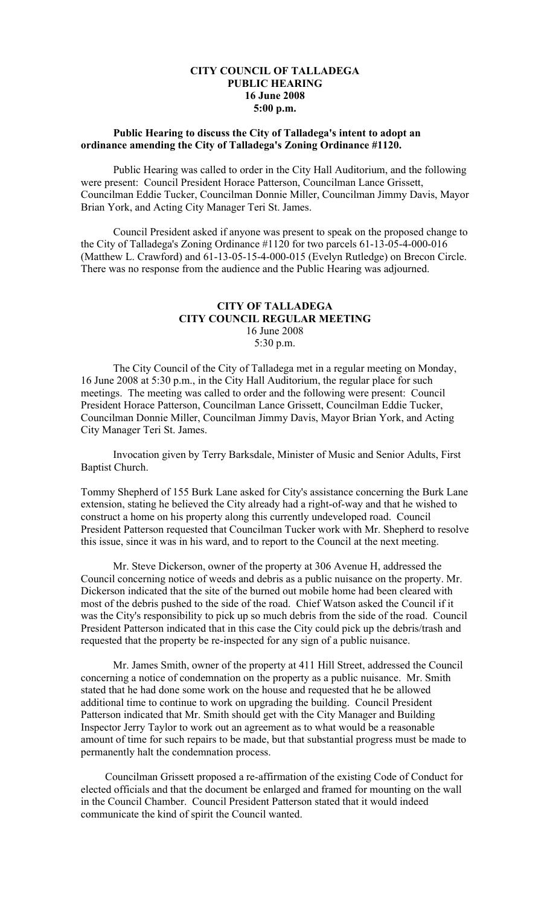## **CITY COUNCIL OF TALLADEGA PUBLIC HEARING 16 June 2008 5:00 p.m.**

## **Public Hearing to discuss the City of Talladega's intent to adopt an ordinance amending the City of Talladega's Zoning Ordinance #1120.**

Public Hearing was called to order in the City Hall Auditorium, and the following were present: Council President Horace Patterson, Councilman Lance Grissett, Councilman Eddie Tucker, Councilman Donnie Miller, Councilman Jimmy Davis, Mayor Brian York, and Acting City Manager Teri St. James.

Council President asked if anyone was present to speak on the proposed change to the City of Talladega's Zoning Ordinance #1120 for two parcels 61-13-05-4-000-016 (Matthew L. Crawford) and 61-13-05-15-4-000-015 (Evelyn Rutledge) on Brecon Circle. There was no response from the audience and the Public Hearing was adjourned.

# **CITY OF TALLADEGA CITY COUNCIL REGULAR MEETING** 16 June 2008 5:30 p.m.

The City Council of the City of Talladega met in a regular meeting on Monday, 16 June 2008 at 5:30 p.m., in the City Hall Auditorium, the regular place for such meetings. The meeting was called to order and the following were present: Council President Horace Patterson, Councilman Lance Grissett, Councilman Eddie Tucker, Councilman Donnie Miller, Councilman Jimmy Davis, Mayor Brian York, and Acting City Manager Teri St. James.

Invocation given by Terry Barksdale, Minister of Music and Senior Adults, First Baptist Church.

Tommy Shepherd of 155 Burk Lane asked for City's assistance concerning the Burk Lane extension, stating he believed the City already had a right-of-way and that he wished to construct a home on his property along this currently undeveloped road. Council President Patterson requested that Councilman Tucker work with Mr. Shepherd to resolve this issue, since it was in his ward, and to report to the Council at the next meeting.

Mr. Steve Dickerson, owner of the property at 306 Avenue H, addressed the Council concerning notice of weeds and debris as a public nuisance on the property. Mr. Dickerson indicated that the site of the burned out mobile home had been cleared with most of the debris pushed to the side of the road. Chief Watson asked the Council if it was the City's responsibility to pick up so much debris from the side of the road. Council President Patterson indicated that in this case the City could pick up the debris/trash and requested that the property be re-inspected for any sign of a public nuisance.

Mr. James Smith, owner of the property at 411 Hill Street, addressed the Council concerning a notice of condemnation on the property as a public nuisance. Mr. Smith stated that he had done some work on the house and requested that he be allowed additional time to continue to work on upgrading the building. Council President Patterson indicated that Mr. Smith should get with the City Manager and Building Inspector Jerry Taylor to work out an agreement as to what would be a reasonable amount of time for such repairs to be made, but that substantial progress must be made to permanently halt the condemnation process.

Councilman Grissett proposed a re-affirmation of the existing Code of Conduct for elected officials and that the document be enlarged and framed for mounting on the wall in the Council Chamber. Council President Patterson stated that it would indeed communicate the kind of spirit the Council wanted.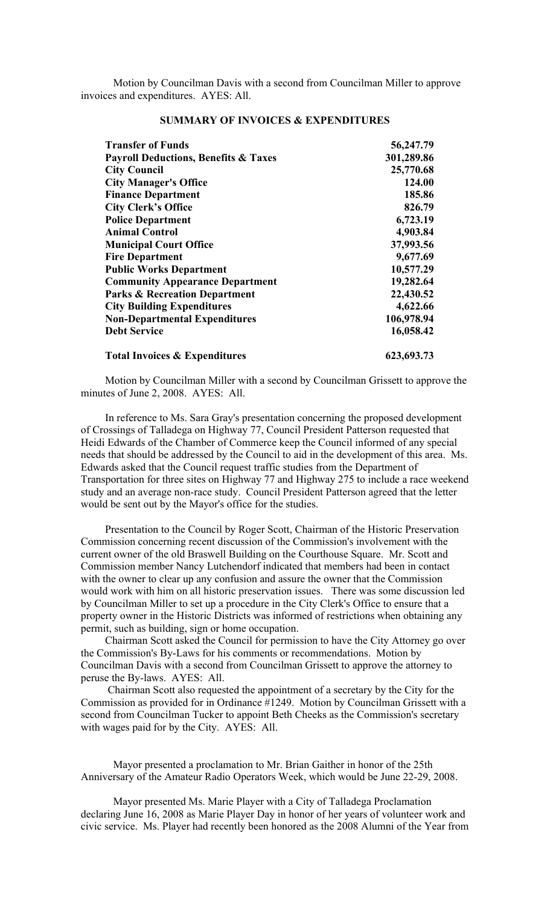Motion by Councilman Davis with a second from Councilman Miller to approve invoices and expenditures. AYES: All.

| <b>Transfer of Funds</b>                        | 56,247.79  |
|-------------------------------------------------|------------|
| <b>Payroll Deductions, Benefits &amp; Taxes</b> | 301,289.86 |
| <b>City Council</b>                             | 25,770.68  |
| <b>City Manager's Office</b>                    | 124.00     |
| <b>Finance Department</b>                       | 185.86     |
| <b>City Clerk's Office</b>                      | 826.79     |
| <b>Police Department</b>                        | 6,723.19   |
| <b>Animal Control</b>                           | 4,903.84   |
| <b>Municipal Court Office</b>                   | 37,993.56  |
| <b>Fire Department</b>                          | 9,677.69   |
| <b>Public Works Department</b>                  | 10,577.29  |
| <b>Community Appearance Department</b>          | 19,282.64  |
| <b>Parks &amp; Recreation Department</b>        | 22,430.52  |
| <b>City Building Expenditures</b>               | 4,622.66   |
| <b>Non-Departmental Expenditures</b>            | 106,978.94 |
| <b>Debt Service</b>                             | 16,058.42  |
| <b>Total Invoices &amp; Expenditures</b>        | 623,693.73 |

## **SUMMARY OF INVOICES & EXPENDITURES**

Motion by Councilman Miller with a second by Councilman Grissett to approve the minutes of June 2, 2008. AYES: All.

In reference to Ms. Sara Gray's presentation concerning the proposed development of Crossings of Talladega on Highway 77, Council President Patterson requested that Heidi Edwards of the Chamber of Commerce keep the Council informed of any special needs that should be addressed by the Council to aid in the development of this area. Ms. Edwards asked that the Council request traffic studies from the Department of Transportation for three sites on Highway 77 and Highway 275 to include a race weekend study and an average non-race study. Council President Patterson agreed that the letter would be sent out by the Mayor's office for the studies.

Presentation to the Council by Roger Scott, Chairman of the Historic Preservation Commission concerning recent discussion of the Commission's involvement with the current owner of the old Braswell Building on the Courthouse Square. Mr. Scott and Commission member Nancy Lutchendorf indicated that members had been in contact with the owner to clear up any confusion and assure the owner that the Commission would work with him on all historic preservation issues. There was some discussion led by Councilman Miller to set up a procedure in the City Clerk's Office to ensure that a property owner in the Historic Districts was informed of restrictions when obtaining any permit, such as building, sign or home occupation.

Chairman Scott asked the Council for permission to have the City Attorney go over the Commission's By-Laws for his comments or recommendations. Motion by Councilman Davis with a second from Councilman Grissett to approve the attorney to peruse the By-laws. AYES: All.

 Chairman Scott also requested the appointment of a secretary by the City for the Commission as provided for in Ordinance #1249. Motion by Councilman Grissett with a second from Councilman Tucker to appoint Beth Cheeks as the Commission's secretary with wages paid for by the City. AYES: All.

Mayor presented a proclamation to Mr. Brian Gaither in honor of the 25th Anniversary of the Amateur Radio Operators Week, which would be June 22-29, 2008.

Mayor presented Ms. Marie Player with a City of Talladega Proclamation declaring June 16, 2008 as Marie Player Day in honor of her years of volunteer work and civic service. Ms. Player had recently been honored as the 2008 Alumni of the Year from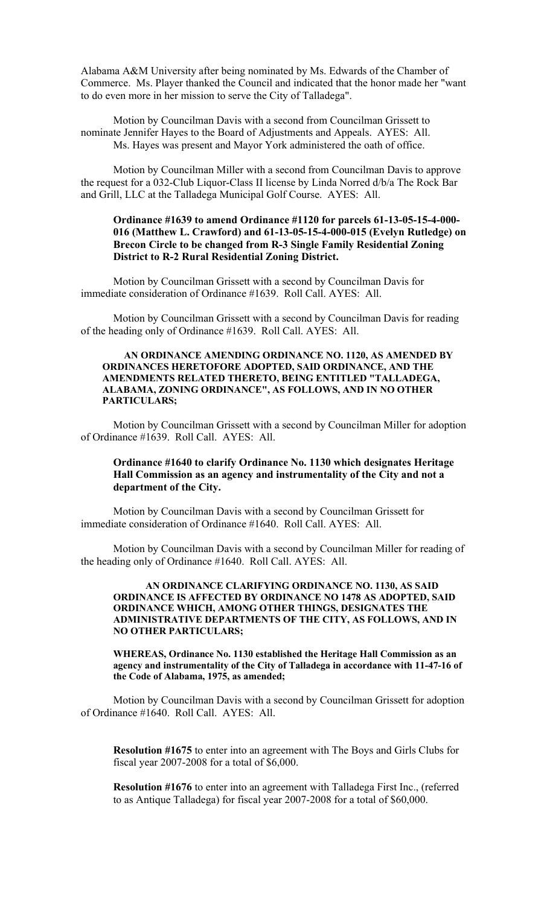Alabama A&M University after being nominated by Ms. Edwards of the Chamber of Commerce. Ms. Player thanked the Council and indicated that the honor made her "want to do even more in her mission to serve the City of Talladega".

Motion by Councilman Davis with a second from Councilman Grissett to nominate Jennifer Hayes to the Board of Adjustments and Appeals. AYES: All. Ms. Hayes was present and Mayor York administered the oath of office.

Motion by Councilman Miller with a second from Councilman Davis to approve the request for a 032-Club Liquor-Class II license by Linda Norred d/b/a The Rock Bar and Grill, LLC at the Talladega Municipal Golf Course. AYES: All.

#### **Ordinance #1639 to amend Ordinance #1120 for parcels 61-13-05-15-4-000- 016 (Matthew L. Crawford) and 61-13-05-15-4-000-015 (Evelyn Rutledge) on Brecon Circle to be changed from R-3 Single Family Residential Zoning District to R-2 Rural Residential Zoning District.**

Motion by Councilman Grissett with a second by Councilman Davis for immediate consideration of Ordinance #1639. Roll Call. AYES: All.

Motion by Councilman Grissett with a second by Councilman Davis for reading of the heading only of Ordinance #1639. Roll Call. AYES: All.

#### **AN ORDINANCE AMENDING ORDINANCE NO. 1120, AS AMENDED BY ORDINANCES HERETOFORE ADOPTED, SAID ORDINANCE, AND THE AMENDMENTS RELATED THERETO, BEING ENTITLED "TALLADEGA, ALABAMA, ZONING ORDINANCE", AS FOLLOWS, AND IN NO OTHER PARTICULARS;**

Motion by Councilman Grissett with a second by Councilman Miller for adoption of Ordinance #1639. Roll Call. AYES: All.

## **Ordinance #1640 to clarify Ordinance No. 1130 which designates Heritage Hall Commission as an agency and instrumentality of the City and not a department of the City.**

Motion by Councilman Davis with a second by Councilman Grissett for immediate consideration of Ordinance #1640. Roll Call. AYES: All.

Motion by Councilman Davis with a second by Councilman Miller for reading of the heading only of Ordinance #1640. Roll Call. AYES: All.

#### **AN ORDINANCE CLARIFYING ORDINANCE NO. 1130, AS SAID ORDINANCE IS AFFECTED BY ORDINANCE NO 1478 AS ADOPTED, SAID ORDINANCE WHICH, AMONG OTHER THINGS, DESIGNATES THE ADMINISTRATIVE DEPARTMENTS OF THE CITY, AS FOLLOWS, AND IN NO OTHER PARTICULARS;**

**WHEREAS, Ordinance No. 1130 established the Heritage Hall Commission as an agency and instrumentality of the City of Talladega in accordance with 11-47-16 of the Code of Alabama, 1975, as amended;**

Motion by Councilman Davis with a second by Councilman Grissett for adoption of Ordinance #1640. Roll Call. AYES: All.

**Resolution #1675** to enter into an agreement with The Boys and Girls Clubs for fiscal year 2007-2008 for a total of \$6,000.

**Resolution #1676** to enter into an agreement with Talladega First Inc., (referred to as Antique Talladega) for fiscal year 2007-2008 for a total of \$60,000.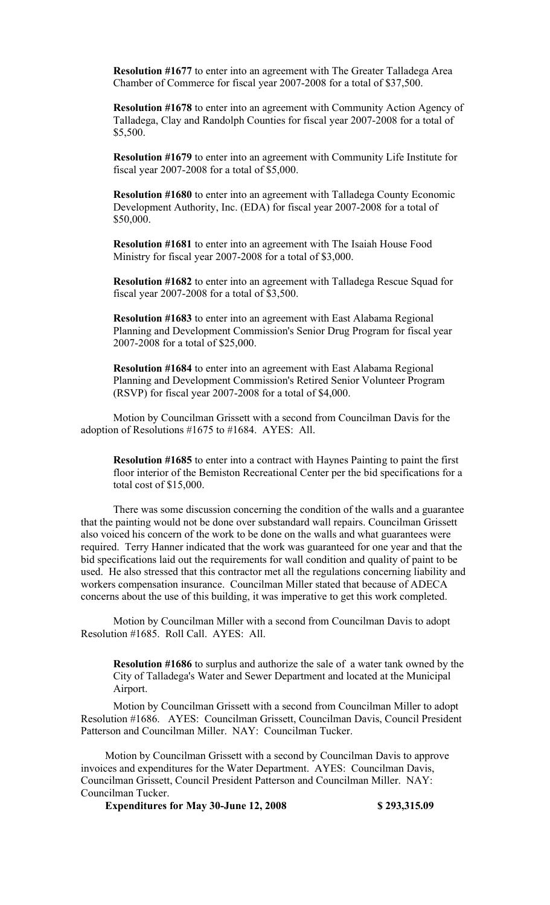**Resolution #1677** to enter into an agreement with The Greater Talladega Area Chamber of Commerce for fiscal year 2007-2008 for a total of \$37,500.

**Resolution #1678** to enter into an agreement with Community Action Agency of Talladega, Clay and Randolph Counties for fiscal year 2007-2008 for a total of \$5,500.

**Resolution #1679** to enter into an agreement with Community Life Institute for fiscal year 2007-2008 for a total of \$5,000.

**Resolution #1680** to enter into an agreement with Talladega County Economic Development Authority, Inc. (EDA) for fiscal year 2007-2008 for a total of \$50,000.

**Resolution #1681** to enter into an agreement with The Isaiah House Food Ministry for fiscal year 2007-2008 for a total of \$3,000.

**Resolution #1682** to enter into an agreement with Talladega Rescue Squad for fiscal year 2007-2008 for a total of \$3,500.

**Resolution #1683** to enter into an agreement with East Alabama Regional Planning and Development Commission's Senior Drug Program for fiscal year 2007-2008 for a total of \$25,000.

**Resolution #1684** to enter into an agreement with East Alabama Regional Planning and Development Commission's Retired Senior Volunteer Program (RSVP) for fiscal year 2007-2008 for a total of \$4,000.

Motion by Councilman Grissett with a second from Councilman Davis for the adoption of Resolutions #1675 to #1684. AYES: All.

**Resolution #1685** to enter into a contract with Haynes Painting to paint the first floor interior of the Bemiston Recreational Center per the bid specifications for a total cost of \$15,000.

There was some discussion concerning the condition of the walls and a guarantee that the painting would not be done over substandard wall repairs. Councilman Grissett also voiced his concern of the work to be done on the walls and what guarantees were required. Terry Hanner indicated that the work was guaranteed for one year and that the bid specifications laid out the requirements for wall condition and quality of paint to be used. He also stressed that this contractor met all the regulations concerning liability and workers compensation insurance. Councilman Miller stated that because of ADECA concerns about the use of this building, it was imperative to get this work completed.

Motion by Councilman Miller with a second from Councilman Davis to adopt Resolution #1685. Roll Call. AYES: All.

**Resolution #1686** to surplus and authorize the sale of a water tank owned by the City of Talladega's Water and Sewer Department and located at the Municipal Airport.

Motion by Councilman Grissett with a second from Councilman Miller to adopt Resolution #1686. AYES: Councilman Grissett, Councilman Davis, Council President Patterson and Councilman Miller. NAY: Councilman Tucker.

Motion by Councilman Grissett with a second by Councilman Davis to approve invoices and expenditures for the Water Department. AYES: Councilman Davis, Councilman Grissett, Council President Patterson and Councilman Miller. NAY: Councilman Tucker.

**Expenditures for May 30-June 12, 2008 \$ 293,315.09**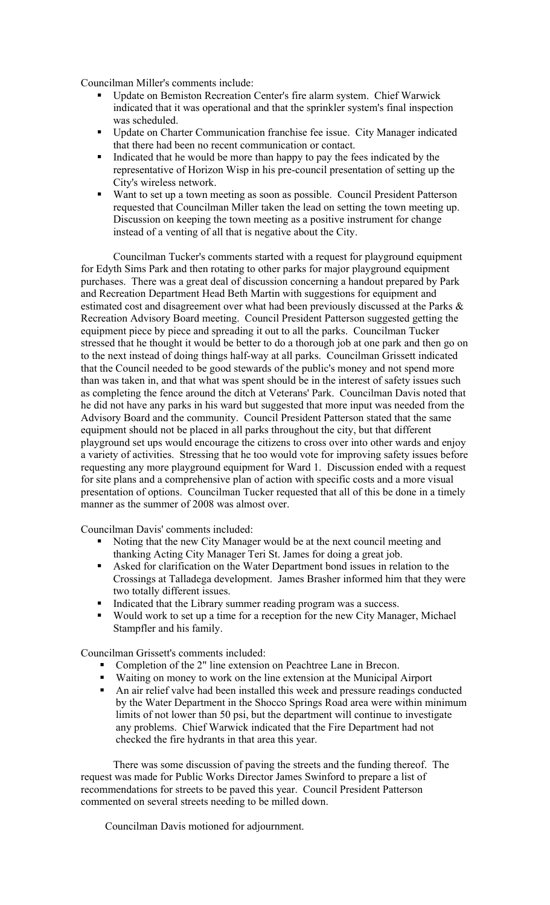Councilman Miller's comments include:

- Update on Bemiston Recreation Center's fire alarm system. Chief Warwick indicated that it was operational and that the sprinkler system's final inspection was scheduled.
- Update on Charter Communication franchise fee issue. City Manager indicated that there had been no recent communication or contact.
- Indicated that he would be more than happy to pay the fees indicated by the representative of Horizon Wisp in his pre-council presentation of setting up the City's wireless network.
- Want to set up a town meeting as soon as possible. Council President Patterson requested that Councilman Miller taken the lead on setting the town meeting up. Discussion on keeping the town meeting as a positive instrument for change instead of a venting of all that is negative about the City.

Councilman Tucker's comments started with a request for playground equipment for Edyth Sims Park and then rotating to other parks for major playground equipment purchases. There was a great deal of discussion concerning a handout prepared by Park and Recreation Department Head Beth Martin with suggestions for equipment and estimated cost and disagreement over what had been previously discussed at the Parks & Recreation Advisory Board meeting. Council President Patterson suggested getting the equipment piece by piece and spreading it out to all the parks. Councilman Tucker stressed that he thought it would be better to do a thorough job at one park and then go on to the next instead of doing things half-way at all parks. Councilman Grissett indicated that the Council needed to be good stewards of the public's money and not spend more than was taken in, and that what was spent should be in the interest of safety issues such as completing the fence around the ditch at Veterans' Park. Councilman Davis noted that he did not have any parks in his ward but suggested that more input was needed from the Advisory Board and the community. Council President Patterson stated that the same equipment should not be placed in all parks throughout the city, but that different playground set ups would encourage the citizens to cross over into other wards and enjoy a variety of activities. Stressing that he too would vote for improving safety issues before requesting any more playground equipment for Ward 1. Discussion ended with a request for site plans and a comprehensive plan of action with specific costs and a more visual presentation of options. Councilman Tucker requested that all of this be done in a timely manner as the summer of 2008 was almost over.

Councilman Davis' comments included:

- Noting that the new City Manager would be at the next council meeting and thanking Acting City Manager Teri St. James for doing a great job.
- Asked for clarification on the Water Department bond issues in relation to the Crossings at Talladega development. James Brasher informed him that they were two totally different issues.
- Indicated that the Library summer reading program was a success.
- Would work to set up a time for a reception for the new City Manager, Michael Stampfler and his family.

Councilman Grissett's comments included:

- Completion of the 2" line extension on Peachtree Lane in Brecon.
- Waiting on money to work on the line extension at the Municipal Airport
- An air relief valve had been installed this week and pressure readings conducted by the Water Department in the Shocco Springs Road area were within minimum limits of not lower than 50 psi, but the department will continue to investigate any problems. Chief Warwick indicated that the Fire Department had not checked the fire hydrants in that area this year.

There was some discussion of paving the streets and the funding thereof. The request was made for Public Works Director James Swinford to prepare a list of recommendations for streets to be paved this year. Council President Patterson commented on several streets needing to be milled down.

Councilman Davis motioned for adjournment.